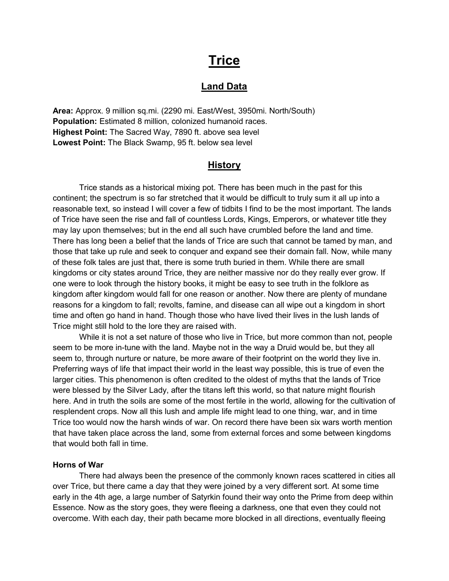# **Trice**

# Land Data

Area: Approx. 9 million sq.mi. (2290 mi. East/West, 3950mi. North/South) Population: Estimated 8 million, colonized humanoid races. Highest Point: The Sacred Way, 7890 ft. above sea level Lowest Point: The Black Swamp, 95 ft. below sea level

## **History**

 Trice stands as a historical mixing pot. There has been much in the past for this continent; the spectrum is so far stretched that it would be difficult to truly sum it all up into a reasonable text, so instead I will cover a few of tidbits I find to be the most important. The lands of Trice have seen the rise and fall of countless Lords, Kings, Emperors, or whatever title they may lay upon themselves; but in the end all such have crumbled before the land and time. There has long been a belief that the lands of Trice are such that cannot be tamed by man, and those that take up rule and seek to conquer and expand see their domain fall. Now, while many of these folk tales are just that, there is some truth buried in them. While there are small kingdoms or city states around Trice, they are neither massive nor do they really ever grow. If one were to look through the history books, it might be easy to see truth in the folklore as kingdom after kingdom would fall for one reason or another. Now there are plenty of mundane reasons for a kingdom to fall; revolts, famine, and disease can all wipe out a kingdom in short time and often go hand in hand. Though those who have lived their lives in the lush lands of Trice might still hold to the lore they are raised with.

 While it is not a set nature of those who live in Trice, but more common than not, people seem to be more in-tune with the land. Maybe not in the way a Druid would be, but they all seem to, through nurture or nature, be more aware of their footprint on the world they live in. Preferring ways of life that impact their world in the least way possible, this is true of even the larger cities. This phenomenon is often credited to the oldest of myths that the lands of Trice were blessed by the Silver Lady, after the titans left this world, so that nature might flourish here. And in truth the soils are some of the most fertile in the world, allowing for the cultivation of resplendent crops. Now all this lush and ample life might lead to one thing, war, and in time Trice too would now the harsh winds of war. On record there have been six wars worth mention that have taken place across the land, some from external forces and some between kingdoms that would both fall in time.

#### Horns of War

There had always been the presence of the commonly known races scattered in cities all over Trice, but there came a day that they were joined by a very different sort. At some time early in the 4th age, a large number of Satyrkin found their way onto the Prime from deep within Essence. Now as the story goes, they were fleeing a darkness, one that even they could not overcome. With each day, their path became more blocked in all directions, eventually fleeing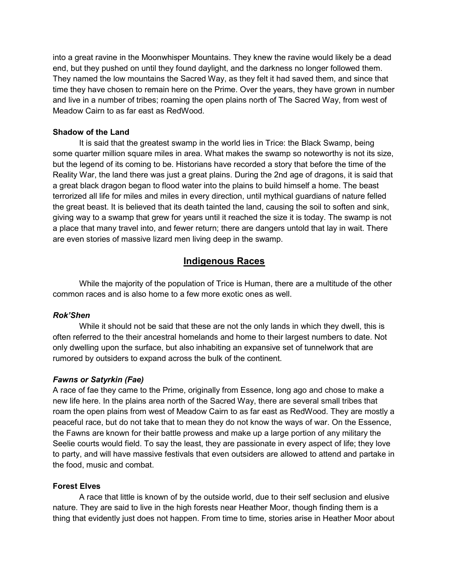into a great ravine in the Moonwhisper Mountains. They knew the ravine would likely be a dead end, but they pushed on until they found daylight, and the darkness no longer followed them. They named the low mountains the Sacred Way, as they felt it had saved them, and since that time they have chosen to remain here on the Prime. Over the years, they have grown in number and live in a number of tribes; roaming the open plains north of The Sacred Way, from west of Meadow Cairn to as far east as RedWood.

## Shadow of the Land

It is said that the greatest swamp in the world lies in Trice: the Black Swamp, being some quarter million square miles in area. What makes the swamp so noteworthy is not its size, but the legend of its coming to be. Historians have recorded a story that before the time of the Reality War, the land there was just a great plains. During the 2nd age of dragons, it is said that a great black dragon began to flood water into the plains to build himself a home. The beast terrorized all life for miles and miles in every direction, until mythical guardians of nature felled the great beast. It is believed that its death tainted the land, causing the soil to soften and sink, giving way to a swamp that grew for years until it reached the size it is today. The swamp is not a place that many travel into, and fewer return; there are dangers untold that lay in wait. There are even stories of massive lizard men living deep in the swamp.

## Indigenous Races

While the majority of the population of Trice is Human, there are a multitude of the other common races and is also home to a few more exotic ones as well.

#### Rok'Shen

 While it should not be said that these are not the only lands in which they dwell, this is often referred to the their ancestral homelands and home to their largest numbers to date. Not only dwelling upon the surface, but also inhabiting an expansive set of tunnelwork that are rumored by outsiders to expand across the bulk of the continent.

## Fawns or Satyrkin (Fae)

A race of fae they came to the Prime, originally from Essence, long ago and chose to make a new life here. In the plains area north of the Sacred Way, there are several small tribes that roam the open plains from west of Meadow Cairn to as far east as RedWood. They are mostly a peaceful race, but do not take that to mean they do not know the ways of war. On the Essence, the Fawns are known for their battle prowess and make up a large portion of any military the Seelie courts would field. To say the least, they are passionate in every aspect of life; they love to party, and will have massive festivals that even outsiders are allowed to attend and partake in the food, music and combat.

#### Forest Elves

 A race that little is known of by the outside world, due to their self seclusion and elusive nature. They are said to live in the high forests near Heather Moor, though finding them is a thing that evidently just does not happen. From time to time, stories arise in Heather Moor about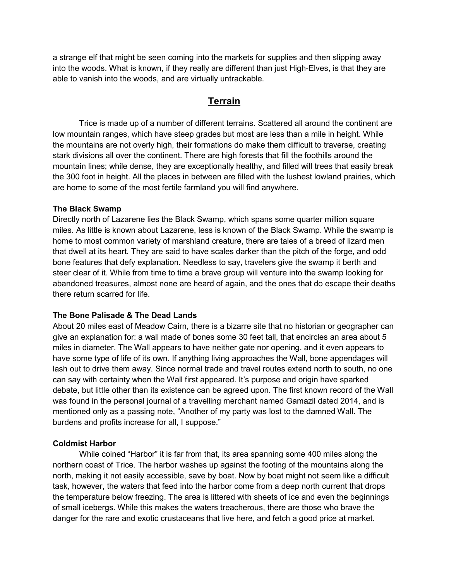a strange elf that might be seen coming into the markets for supplies and then slipping away into the woods. What is known, if they really are different than just High-Elves, is that they are able to vanish into the woods, and are virtually untrackable.

# Terrain

 Trice is made up of a number of different terrains. Scattered all around the continent are low mountain ranges, which have steep grades but most are less than a mile in height. While the mountains are not overly high, their formations do make them difficult to traverse, creating stark divisions all over the continent. There are high forests that fill the foothills around the mountain lines; while dense, they are exceptionally healthy, and filled will trees that easily break the 300 foot in height. All the places in between are filled with the lushest lowland prairies, which are home to some of the most fertile farmland you will find anywhere.

## The Black Swamp

Directly north of Lazarene lies the Black Swamp, which spans some quarter million square miles. As little is known about Lazarene, less is known of the Black Swamp. While the swamp is home to most common variety of marshland creature, there are tales of a breed of lizard men that dwell at its heart. They are said to have scales darker than the pitch of the forge, and odd bone features that defy explanation. Needless to say, travelers give the swamp it berth and steer clear of it. While from time to time a brave group will venture into the swamp looking for abandoned treasures, almost none are heard of again, and the ones that do escape their deaths there return scarred for life.

## The Bone Palisade & The Dead Lands

About 20 miles east of Meadow Cairn, there is a bizarre site that no historian or geographer can give an explanation for: a wall made of bones some 30 feet tall, that encircles an area about 5 miles in diameter. The Wall appears to have neither gate nor opening, and it even appears to have some type of life of its own. If anything living approaches the Wall, bone appendages will lash out to drive them away. Since normal trade and travel routes extend north to south, no one can say with certainty when the Wall first appeared. It's purpose and origin have sparked debate, but little other than its existence can be agreed upon. The first known record of the Wall was found in the personal journal of a travelling merchant named Gamazil dated 2014, and is mentioned only as a passing note, "Another of my party was lost to the damned Wall. The burdens and profits increase for all, I suppose."

#### Coldmist Harbor

 While coined "Harbor" it is far from that, its area spanning some 400 miles along the northern coast of Trice. The harbor washes up against the footing of the mountains along the north, making it not easily accessible, save by boat. Now by boat might not seem like a difficult task, however, the waters that feed into the harbor come from a deep north current that drops the temperature below freezing. The area is littered with sheets of ice and even the beginnings of small icebergs. While this makes the waters treacherous, there are those who brave the danger for the rare and exotic crustaceans that live here, and fetch a good price at market.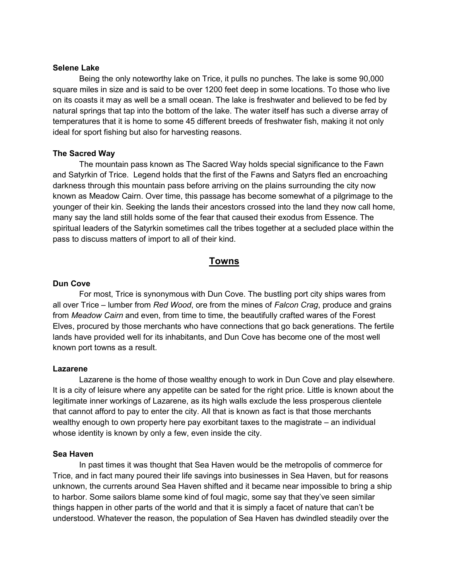#### Selene Lake

Being the only noteworthy lake on Trice, it pulls no punches. The lake is some 90,000 square miles in size and is said to be over 1200 feet deep in some locations. To those who live on its coasts it may as well be a small ocean. The lake is freshwater and believed to be fed by natural springs that tap into the bottom of the lake. The water itself has such a diverse array of temperatures that it is home to some 45 different breeds of freshwater fish, making it not only ideal for sport fishing but also for harvesting reasons.

#### The Sacred Way

 The mountain pass known as The Sacred Way holds special significance to the Fawn and Satyrkin of Trice. Legend holds that the first of the Fawns and Satyrs fled an encroaching darkness through this mountain pass before arriving on the plains surrounding the city now known as Meadow Cairn. Over time, this passage has become somewhat of a pilgrimage to the younger of their kin. Seeking the lands their ancestors crossed into the land they now call home, many say the land still holds some of the fear that caused their exodus from Essence. The spiritual leaders of the Satyrkin sometimes call the tribes together at a secluded place within the pass to discuss matters of import to all of their kind.

## Towns

#### Dun Cove

For most, Trice is synonymous with Dun Cove. The bustling port city ships wares from all over Trice – lumber from Red Wood, ore from the mines of Falcon Crag, produce and grains from Meadow Cairn and even, from time to time, the beautifully crafted wares of the Forest Elves, procured by those merchants who have connections that go back generations. The fertile lands have provided well for its inhabitants, and Dun Cove has become one of the most well known port towns as a result.

#### Lazarene

Lazarene is the home of those wealthy enough to work in Dun Cove and play elsewhere. It is a city of leisure where any appetite can be sated for the right price. Little is known about the legitimate inner workings of Lazarene, as its high walls exclude the less prosperous clientele that cannot afford to pay to enter the city. All that is known as fact is that those merchants wealthy enough to own property here pay exorbitant taxes to the magistrate – an individual whose identity is known by only a few, even inside the city.

#### Sea Haven

In past times it was thought that Sea Haven would be the metropolis of commerce for Trice, and in fact many poured their life savings into businesses in Sea Haven, but for reasons unknown, the currents around Sea Haven shifted and it became near impossible to bring a ship to harbor. Some sailors blame some kind of foul magic, some say that they've seen similar things happen in other parts of the world and that it is simply a facet of nature that can't be understood. Whatever the reason, the population of Sea Haven has dwindled steadily over the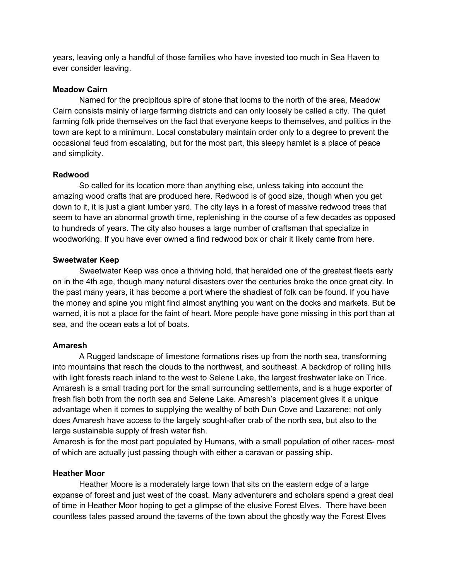years, leaving only a handful of those families who have invested too much in Sea Haven to ever consider leaving.

## Meadow Cairn

Named for the precipitous spire of stone that looms to the north of the area, Meadow Cairn consists mainly of large farming districts and can only loosely be called a city. The quiet farming folk pride themselves on the fact that everyone keeps to themselves, and politics in the town are kept to a minimum. Local constabulary maintain order only to a degree to prevent the occasional feud from escalating, but for the most part, this sleepy hamlet is a place of peace and simplicity.

## Redwood

 So called for its location more than anything else, unless taking into account the amazing wood crafts that are produced here. Redwood is of good size, though when you get down to it, it is just a giant lumber yard. The city lays in a forest of massive redwood trees that seem to have an abnormal growth time, replenishing in the course of a few decades as opposed to hundreds of years. The city also houses a large number of craftsman that specialize in woodworking. If you have ever owned a find redwood box or chair it likely came from here.

## Sweetwater Keep

Sweetwater Keep was once a thriving hold, that heralded one of the greatest fleets early on in the 4th age, though many natural disasters over the centuries broke the once great city. In the past many years, it has become a port where the shadiest of folk can be found. If you have the money and spine you might find almost anything you want on the docks and markets. But be warned, it is not a place for the faint of heart. More people have gone missing in this port than at sea, and the ocean eats a lot of boats.

## Amaresh

A Rugged landscape of limestone formations rises up from the north sea, transforming into mountains that reach the clouds to the northwest, and southeast. A backdrop of rolling hills with light forests reach inland to the west to Selene Lake, the largest freshwater lake on Trice. Amaresh is a small trading port for the small surrounding settlements, and is a huge exporter of fresh fish both from the north sea and Selene Lake. Amaresh's placement gives it a unique advantage when it comes to supplying the wealthy of both Dun Cove and Lazarene; not only does Amaresh have access to the largely sought-after crab of the north sea, but also to the large sustainable supply of fresh water fish.

Amaresh is for the most part populated by Humans, with a small population of other races- most of which are actually just passing though with either a caravan or passing ship.

#### Heather Moor

Heather Moore is a moderately large town that sits on the eastern edge of a large expanse of forest and just west of the coast. Many adventurers and scholars spend a great deal of time in Heather Moor hoping to get a glimpse of the elusive Forest Elves. There have been countless tales passed around the taverns of the town about the ghostly way the Forest Elves